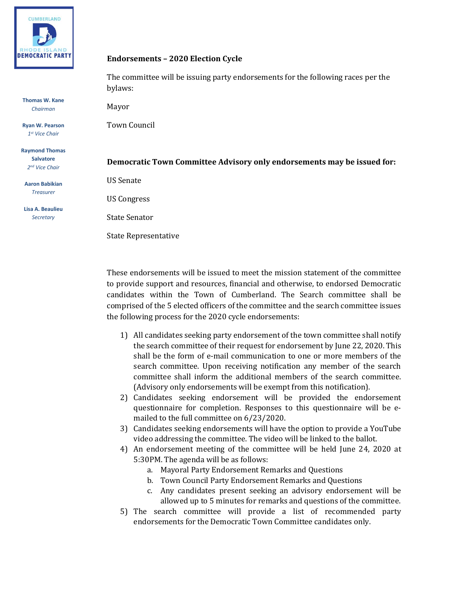

**Thomas W. Kane** *Chairman*

**Ryan W. Pearson** *1 st Vice Chair*

**Raymond Thomas Salvatore** *2 nd Vice Chair*

**Aaron Babikian** *Treasurer*

**Lisa A. Beaulieu** *Secretary*

## **Endorsements – 2020 Election Cycle**

The committee will be issuing party endorsements for the following races per the bylaws:

Mayor

Town Council

## **Democratic Town Committee Advisory only endorsements may be issued for:**

US Senate

US Congress

State Senator

State Representative

These endorsements will be issued to meet the mission statement of the committee to provide support and resources, financial and otherwise, to endorsed Democratic candidates within the Town of Cumberland. The Search committee shall be comprised of the 5 elected officers of the committee and the search committee issues the following process for the 2020 cycle endorsements:

- 1) All candidates seeking party endorsement of the town committee shall notify the search committee of their request for endorsement by June 22, 2020. This shall be the form of e-mail communication to one or more members of the search committee. Upon receiving notification any member of the search committee shall inform the additional members of the search committee. (Advisory only endorsements will be exempt from this notification).
- 2) Candidates seeking endorsement will be provided the endorsement questionnaire for completion. Responses to this questionnaire will be emailed to the full committee on 6/23/2020.
- 3) Candidates seeking endorsements will have the option to provide a YouTube video addressing the committee. The video will be linked to the ballot.
- 4) An endorsement meeting of the committee will be held June 24, 2020 at 5:30PM. The agenda will be as follows:
	- a. Mayoral Party Endorsement Remarks and Questions
	- b. Town Council Party Endorsement Remarks and Questions
	- c. Any candidates present seeking an advisory endorsement will be allowed up to 5 minutes for remarks and questions of the committee.
- 5) The search committee will provide a list of recommended party endorsements for the Democratic Town Committee candidates only.